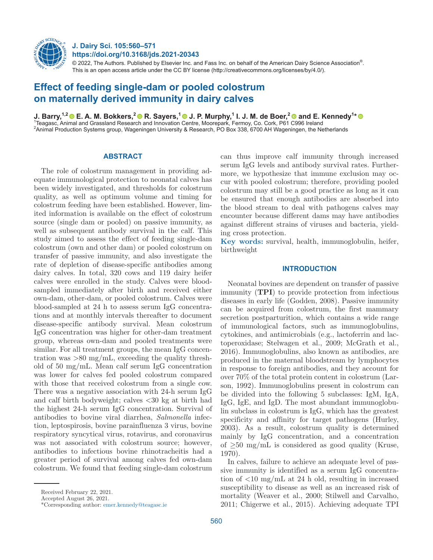

**J. Dairy Sci. 105:560–571 https://doi.org/10.3168/jds.2021-20343**

 $@$  2022, The Authors. Published by Elsevier Inc. and Fass Inc. on behalf of the American Dairy Science Association $^{\circ}$ . This is an open access article under the CC BY license (http://creativecommons.org/licenses/by/4.0/).

# **Effect of feeding single-dam or pooled colostrum on maternally derived immunity in dairy calves**

**J. Barry,1,[2 E](https://orcid.org/0000-0001-9792-7264). A. M. Bokkers,[2 R](https://orcid.org/0000-0002-2000-7600). Sayers,1 [J](https://orcid.org/0000-0003-0307-4569). P. Murphy,1 I. J. M. de Boer,2and E. Kennedy1 \*** <sup>1</sup> Teagasc, Animal and Grassland Research and Innovation Centre, Moorepark, Fermoy, Co. Cork, P61 C996 Ireland 2 Animal Production Systems group, Wageningen University & Research, PO Box 338, 6700 AH Wageningen, the Netherlands

# **ABSTRACT**

The role of colostrum management in providing adequate immunological protection to neonatal calves has been widely investigated, and thresholds for colostrum quality, as well as optimum volume and timing for colostrum feeding have been established. However, limited information is available on the effect of colostrum source (single dam or pooled) on passive immunity, as well as subsequent antibody survival in the calf. This study aimed to assess the effect of feeding single-dam colostrum (own and other dam) or pooled colostrum on transfer of passive immunity, and also investigate the rate of depletion of disease-specific antibodies among dairy calves. In total, 320 cows and 119 dairy heifer calves were enrolled in the study. Calves were bloodsampled immediately after birth and received either own-dam, other-dam, or pooled colostrum. Calves were blood-sampled at 24 h to assess serum IgG concentrations and at monthly intervals thereafter to document disease-specific antibody survival. Mean colostrum IgG concentration was higher for other-dam treatment group, whereas own-dam and pooled treatments were similar. For all treatment groups, the mean IgG concentration was  $>80$  mg/mL, exceeding the quality threshold of 50 mg/mL. Mean calf serum IgG concentration was lower for calves fed pooled colostrum compared with those that received colostrum from a single cow. There was a negative association with 24-h serum IgG and calf birth bodyweight; calves <30 kg at birth had the highest 24-h serum IgG concentration. Survival of antibodies to bovine viral diarrhea, *Salmonella* infection, leptospirosis, bovine parainfluenza 3 virus, bovine respiratory syncytical virus, rotavirus, and coronavirus was not associated with colostrum source; however, antibodies to infectious bovine rhinotracheitis had a greater period of survival among calves fed own-dam colostrum. We found that feeding single-dam colostrum

can thus improve calf immunity through increased serum IgG levels and antibody survival rates. Furthermore, we hypothesize that immune exclusion may occur with pooled colostrum; therefore, providing pooled colostrum may still be a good practice as long as it can be ensured that enough antibodies are absorbed into the blood stream to deal with pathogens calves may encounter because different dams may have antibodies against different strains of viruses and bacteria, yielding cross protection.

**Key words:** survival, health, immunoglobulin, heifer, birthweight

# **INTRODUCTION**

Neonatal bovines are dependent on transfer of passive immunity (**TPI**) to provide protection from infectious diseases in early life (Godden, 2008). Passive immunity can be acquired from colostrum, the first mammary secretion postparturition, which contains a wide range of immunological factors, such as immunoglobulins, cytokines, and antimicrobials (e.g., lactoferrin and lactoperoxidase; Stelwagen et al., 2009; McGrath et al., 2016). Immunoglobulins, also known as antibodies, are produced in the maternal bloodstream by lymphocytes in response to foreign antibodies, and they account for over 70% of the total protein content in colostrum (Larson, 1992). Immunoglobulins present in colostrum can be divided into the following 5 subclasses: IgM, IgA, IgG, IgE, and IgD. The most abundant immunoglobulin subclass in colostrum is IgG, which has the greatest specificity and affinity for target pathogens (Hurley, 2003). As a result, colostrum quality is determined mainly by IgG concentration, and a concentration of  $\geq$ 50 mg/mL is considered as good quality (Kruse, 1970).

In calves, failure to achieve an adequate level of passive immunity is identified as a serum IgG concentration of <10 mg/mL at 24 h old, resulting in increased susceptibility to disease as well as an increased risk of mortality (Weaver et al., 2000; Stilwell and Carvalho, 2011; Chigerwe et al., 2015). Achieving adequate TPI

Received February 22, 2021.

Accepted August 26, 2021.

<sup>\*</sup>Corresponding author: [emer.kennedy@teagasc.ie](mailto:emer.kennedy@teagasc.ie)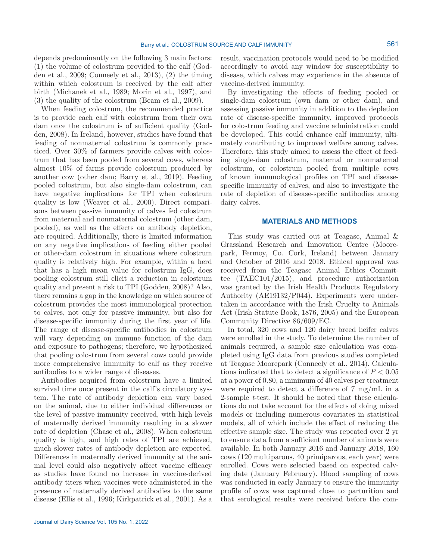depends predominantly on the following 3 main factors: (1) the volume of colostrum provided to the calf (Godden et al., 2009; Conneely et al., 2013), (2) the timing within which colostrum is received by the calf after birth (Michanek et al., 1989; Morin et al., 1997), and (3) the quality of the colostrum (Beam et al., 2009).

When feeding colostrum, the recommended practice is to provide each calf with colostrum from their own dam once the colostrum is of sufficient quality (Godden, 2008). In Ireland, however, studies have found that feeding of nonmaternal colostrum is commonly practiced. Over 30% of farmers provide calves with colostrum that has been pooled from several cows, whereas almost 10% of farms provide colostrum produced by another cow (other dam; Barry et al., 2019). Feeding pooled colostrum, but also single-dam colostrum, can have negative implications for TPI when colostrum quality is low (Weaver et al., 2000). Direct comparisons between passive immunity of calves fed colostrum from maternal and nonmaternal colostrum (other dam, pooled), as well as the effects on antibody depletion, are required. Additionally, there is limited information on any negative implications of feeding either pooled or other-dam colostrum in situations where colostrum quality is relatively high. For example, within a herd that has a high mean value for colostrum IgG, does pooling colostrum still elicit a reduction in colostrum quality and present a risk to TPI (Godden, 2008)? Also, there remains a gap in the knowledge on which source of colostrum provides the most immunological protection to calves, not only for passive immunity, but also for disease-specific immunity during the first year of life. The range of disease-specific antibodies in colostrum will vary depending on immune function of the dam and exposure to pathogens; therefore, we hypothesized that pooling colostrum from several cows could provide more comprehensive immunity to calf as they receive antibodies to a wider range of diseases.

Antibodies acquired from colostrum have a limited survival time once present in the calf's circulatory system. The rate of antibody depletion can vary based on the animal, due to either individual differences or the level of passive immunity received, with high levels of maternally derived immunity resulting in a slower rate of depletion (Chase et al., 2008). When colostrum quality is high, and high rates of TPI are achieved, much slower rates of antibody depletion are expected. Differences in maternally derived immunity at the animal level could also negatively affect vaccine efficacy as studies have found no increase in vaccine-derived antibody titers when vaccines were administered in the presence of maternally derived antibodies to the same disease (Ellis et al., 1996; Kirkpatrick et al., 2001). As a result, vaccination protocols would need to be modified accordingly to avoid any window for susceptibility to disease, which calves may experience in the absence of vaccine-derived immunity.

By investigating the effects of feeding pooled or single-dam colostrum (own dam or other dam), and assessing passive immunity in addition to the depletion rate of disease-specific immunity, improved protocols for colostrum feeding and vaccine administration could be developed. This could enhance calf immunity, ultimately contributing to improved welfare among calves. Therefore, this study aimed to assess the effect of feeding single-dam colostrum, maternal or nonmaternal colostrum, or colostrum pooled from multiple cows of known immunological profiles on TPI and diseasespecific immunity of calves, and also to investigate the rate of depletion of disease-specific antibodies among dairy calves.

# **MATERIALS AND METHODS**

This study was carried out at Teagasc, Animal & Grassland Research and Innovation Centre (Moorepark, Fermoy, Co. Cork, Ireland) between January and October of 2016 and 2018. Ethical approval was received from the Teagasc Animal Ethics Committee (TAEC101/2015), and procedure authorization was granted by the Irish Health Products Regulatory Authority (AE19132/P044). Experiments were undertaken in accordance with the Irish Cruelty to Animals Act (Irish Statute Book, 1876, 2005) and the European Community Directive 86/609/EC.

In total, 320 cows and 120 dairy breed heifer calves were enrolled in the study. To determine the number of animals required, a sample size calculation was completed using IgG data from previous studies completed at Teagasc Moorepark (Conneely et al., 2014). Calculations indicated that to detect a significance of  $P < 0.05$ at a power of 0.80, a minimum of 40 calves per treatment were required to detect a difference of 7 mg/mL in a 2-sample *t*-test. It should be noted that these calculations do not take account for the effects of doing mixed models or including numerous covariates in statistical models, all of which include the effect of reducing the effective sample size. The study was repeated over 2 yr to ensure data from a sufficient number of animals were available. In both January 2016 and January 2018, 160 cows (120 multiparous, 40 primiparous, each year) were enrolled. Cows were selected based on expected calving date (January–February). Blood sampling of cows was conducted in early January to ensure the immunity profile of cows was captured close to parturition and that serological results were received before the com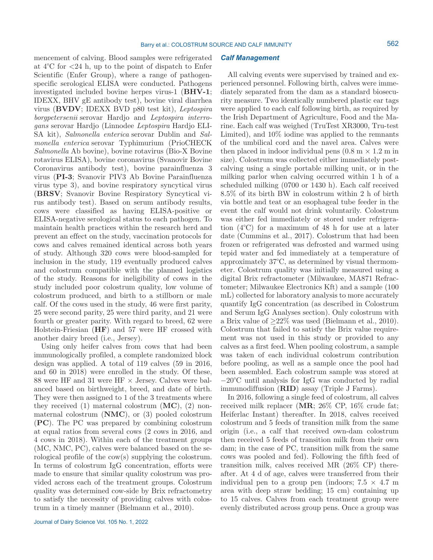mencement of calving. Blood samples were refrigerated at  $4^{\circ}$ C for  $\lt 24$  h, up to the point of dispatch to Enfer Scientific (Enfer Group), where a range of pathogenspecific serological ELISA were conducted. Pathogens investigated included bovine herpes virus-1 (**BHV-1**; IDEXX, BHV gE antibody test), bovine viral diarrhea virus (**BVDV**; IDEXX BVD p80 test kit), *Leptospira borgpetersenii* serovar Hardjo and *Leptospira interrogans* serovar Hardjo (Linnodee *Leptospira* Hardjo ELI-SA kit), *Salmonella enterica* serovar Dublin and *Salmonella enterica* serovar Typhimurium (PrioCHECK *Salmonella* Ab bovine), bovine rotavirus (Bio-X Bovine rotavirus ELISA), bovine coronavirus (Svanovir Bovine Coronavirus antibody test), bovine parainfluenza 3 virus (**PI-3**; Svanovir PIV3 Ab Bovine Parainfluenza virus type 3), and bovine respiratory syncytical virus (**BRSV**; Svanovir Bovine Respiratory Syncytical virus antibody test). Based on serum antibody results, cows were classified as having ELISA-positive or ELISA-negative serological status to each pathogen. To maintain health practices within the research herd and prevent an effect on the study, vaccination protocols for cows and calves remained identical across both years of study. Although 320 cows were blood-sampled for inclusion in the study, 119 eventually produced calves and colostrum compatible with the planned logistics of the study. Reasons for ineligibility of cows in the study included poor colostrum quality, low volume of colostrum produced, and birth to a stillborn or male calf. Of the cows used in the study, 46 were first parity, 25 were second parity, 25 were third parity, and 21 were fourth or greater parity. With regard to breed, 62 were Holstein-Friesian (**HF**) and 57 were HF crossed with another dairy breed (i.e., Jersey).

Using only heifer calves from cows that had been immunologically profiled, a complete randomized block design was applied. A total of 119 calves (59 in 2016, and 60 in 2018) were enrolled in the study. Of these, 88 were HF and 31 were HF  $\times$  Jersey. Calves were balanced based on birthweight, breed, and date of birth. They were then assigned to 1 of the 3 treatments where they received (1) maternal colostrum (**MC**), (2) nonmaternal colostrum (**NMC**), or (3) pooled colostrum (**PC**). The PC was prepared by combining colostrum at equal ratios from several cows (2 cows in 2016, and 4 cows in 2018). Within each of the treatment groups (MC, NMC, PC), calves were balanced based on the serological profile of the cow(s) supplying the colostrum. In terms of colostrum IgG concentration, efforts were made to ensure that similar quality colostrum was provided across each of the treatment groups. Colostrum quality was determined cow-side by Brix refractometry to satisfy the necessity of providing calves with colostrum in a timely manner (Bielmann et al., 2010).

### *Calf Management*

All calving events were supervised by trained and experienced personnel. Following birth, calves were immediately separated from the dam as a standard biosecurity measure. Two identically numbered plastic ear tags were applied to each calf following birth, as required by the Irish Department of Agriculture, Food and the Marine. Each calf was weighed (TruTest XR3000, Tru-test Limited), and 10% iodine was applied to the remnants of the umbilical cord and the navel area. Calves were then placed in indoor individual pens  $(0.8 \text{ m} \times 1.2 \text{ m})$  in size). Colostrum was collected either immediately postcalving using a single portable milking unit, or in the milking parlor when calving occurred within 1 h of a scheduled milking (0700 or 1430 h). Each calf received 8.5% of its birth BW in colostrum within 2 h of birth via bottle and teat or an esophageal tube feeder in the event the calf would not drink voluntarily. Colostrum was either fed immediately or stored under refrigeration (4°C) for a maximum of 48 h for use at a later date (Cummins et al., 2017). Colostrum that had been frozen or refrigerated was defrosted and warmed using tepid water and fed immediately at a temperature of approximately 37°C, as determined by visual thermometer. Colostrum quality was initially measured using a digital Brix refractometer (Milwaukee, MA871 Refractometer; Milwaukee Electronics Kft) and a sample (100 mL) collected for laboratory analysis to more accurately quantify IgG concentration (as described in Colostrum and Serum IgG Analyses section). Only colostrum with a Brix value of  $\geq 22\%$  was used (Bielmann et al., 2010). Colostrum that failed to satisfy the Brix value requirement was not used in this study or provided to any calves as a first feed. When pooling colostrum, a sample was taken of each individual colostrum contribution before pooling, as well as a sample once the pool had been assembled. Each colostrum sample was stored at −20°C until analysis for IgG was conducted by radial immunodiffusion (**RID**) assay (Triple J Farms).

In 2016, following a single feed of colostrum, all calves received milk replacer (**MR**; 26% CP, 16% crude fat; Heiferlac Instant) thereafter. In 2018, calves received colostrum and 5 feeds of transition milk from the same origin (i.e., a calf that received own-dam colostrum then received 5 feeds of transition milk from their own dam; in the case of PC, transition milk from the same cows was pooled and fed). Following the fifth feed of transition milk, calves received MR (26% CP) thereafter. At 4 d of age, calves were transferred from their individual pen to a group pen (indoors;  $7.5 \times 4.7$  m area with deep straw bedding; 15 cm) containing up to 15 calves. Calves from each treatment group were evenly distributed across group pens. Once a group was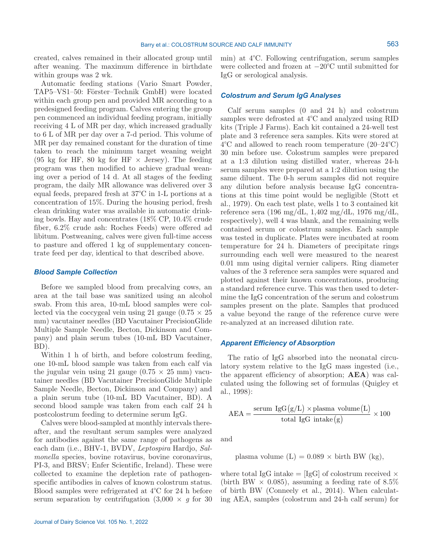created, calves remained in their allocated group until after weaning. The maximum difference in birthdate within groups was 2 wk.

Automatic feeding stations (Vario Smart Powder, TAP5–VS1–50: Förster–Technik GmbH) were located within each group pen and provided MR according to a predesigned feeding program. Calves entering the group pen commenced an individual feeding program, initially receiving 4 L of MR per day, which increased gradually to 6 L of MR per day over a 7-d period. This volume of MR per day remained constant for the duration of time taken to reach the minimum target weaning weight (95 kg for HF, 80 kg for HF  $\times$  Jersey). The feeding program was then modified to achieve gradual weaning over a period of 14 d. At all stages of the feeding program, the daily MR allowance was delivered over 3 equal feeds, prepared fresh at 37°C in 1-L portions at a concentration of 15%. During the housing period, fresh clean drinking water was available in automatic drinking bowls. Hay and concentrates (18% CP, 10.4% crude fiber, 6.2% crude ash: Roches Feeds) were offered ad libitum. Postweaning, calves were given full-time access to pasture and offered 1 kg of supplementary concentrate feed per day, identical to that described above.

## *Blood Sample Collection*

Before we sampled blood from precalving cows, an area at the tail base was sanitized using an alcohol swab. From this area, 10-mL blood samples were collected via the coccygeal vein using 21 gauge  $(0.75 \times 25)$ mm) vacutainer needles (BD Vacutainer PrecisionGlide Multiple Sample Needle, Becton, Dickinson and Company) and plain serum tubes (10-mL BD Vacutainer, BD).

Within 1 h of birth, and before colostrum feeding, one 10-mL blood sample was taken from each calf via the jugular vein using 21 gauge  $(0.75 \times 25 \text{ mm})$  vacutainer needles (BD Vacutainer PrecisionGlide Multiple Sample Needle, Becton, Dickinson and Company) and a plain serum tube (10-mL BD Vacutainer, BD). A second blood sample was taken from each calf 24 h postcolostrum feeding to determine serum IgG.

Calves were blood-sampled at monthly intervals thereafter, and the resultant serum samples were analyzed for antibodies against the same range of pathogens as each dam (i.e., BHV-1, BVDV, *Leptospira* Hardjo, *Salmonella* species, bovine rotavirus, bovine coronavirus, PI-3, and BRSV; Enfer Scientific, Ireland). These were collected to examine the depletion rate of pathogenspecific antibodies in calves of known colostrum status. Blood samples were refrigerated at 4°C for 24 h before serum separation by centrifugation  $(3,000 \times g)$  for 30 min) at 4°C. Following centrifugation, serum samples were collected and frozen at −20°C until submitted for IgG or serological analysis.

## *Colostrum and Serum IgG Analyses*

Calf serum samples (0 and 24 h) and colostrum samples were defrosted at 4°C and analyzed using RID kits (Triple J Farms). Each kit contained a 24-well test plate and 3 reference sera samples. Kits were stored at 4°C and allowed to reach room temperature (20–24°C) 30 min before use. Colostrum samples were prepared at a 1:3 dilution using distilled water, whereas 24-h serum samples were prepared at a 1:2 dilution using the same diluent. The 0-h serum samples did not require any dilution before analysis because IgG concentrations at this time point would be negligible (Stott et al., 1979). On each test plate, wells 1 to 3 contained kit reference sera (196 mg/dL, 1,402 mg/dL, 1976 mg/dL, respectively), well 4 was blank, and the remaining wells contained serum or colostrum samples. Each sample was tested in duplicate. Plates were incubated at room temperature for 24 h. Diameters of precipitate rings surrounding each well were measured to the nearest 0.01 mm using digital vernier calipers. Ring diameter values of the 3 reference sera samples were squared and plotted against their known concentrations, producing a standard reference curve. This was then used to determine the IgG concentration of the serum and colostrum samples present on the plate. Samples that produced a value beyond the range of the reference curve were re-analyzed at an increased dilution rate.

# *Apparent Efficiency of Absorption*

The ratio of IgG absorbed into the neonatal circulatory system relative to the IgG mass ingested (i.e., the apparent efficiency of absorption; **AEA**) was calculated using the following set of formulas (Quigley et al., 1998):

$$
AEA = \frac{\text{serum IgG}(g/L) \times \text{plasma volume}(L)}{\text{total IgG intake}(g)} \times 100
$$

and

plasma volume 
$$
(L) = 0.089 \times
$$
 birth BW  $(kg)$ ,

where total IgG intake  $=$  [IgG] of colostrum received  $\times$ (birth BW  $\times$  0.085), assuming a feeding rate of 8.5% of birth BW (Conneely et al., 2014). When calculating AEA, samples (colostrum and 24-h calf serum) for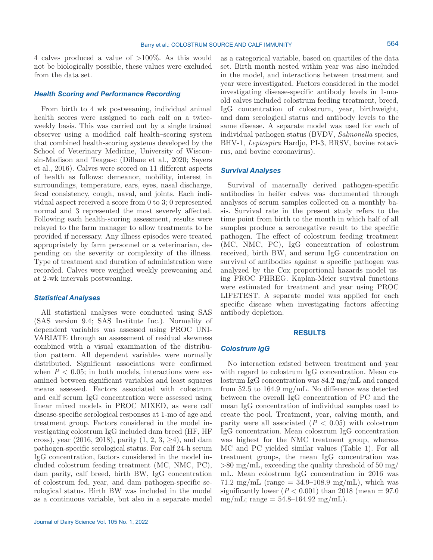Barry et al.: COLOSTRUM SOURCE AND CALF IMMUNITY

4 calves produced a value of >100%. As this would not be biologically possible, these values were excluded from the data set.

# *Health Scoring and Performance Recording*

From birth to 4 wk postweaning, individual animal health scores were assigned to each calf on a twiceweekly basis. This was carried out by a single trained observer using a modified calf health–scoring system that combined health-scoring systems developed by the School of Veterinary Medicine, University of Wisconsin-Madison and Teagasc (Dillane et al., 2020; Sayers et al., 2016). Calves were scored on 11 different aspects of health as follows: demeanor, mobility, interest in surroundings, temperature, ears, eyes, nasal discharge, fecal consistency, cough, naval, and joints. Each individual aspect received a score from 0 to 3; 0 represented normal and 3 represented the most severely affected. Following each health-scoring assessment, results were relayed to the farm manager to allow treatments to be provided if necessary. Any illness episodes were treated appropriately by farm personnel or a veterinarian, depending on the severity or complexity of the illness. Type of treatment and duration of administration were recorded. Calves were weighed weekly preweaning and at 2-wk intervals postweaning.

## *Statistical Analyses*

All statistical analyses were conducted using SAS (SAS version 9.4; SAS Institute Inc.). Normality of dependent variables was assessed using PROC UNI-VARIATE through an assessment of residual skewness combined with a visual examination of the distribution pattern. All dependent variables were normally distributed. Significant associations were confirmed when  $P < 0.05$ ; in both models, interactions were examined between significant variables and least squares means assessed. Factors associated with colostrum and calf serum IgG concentration were assessed using linear mixed models in PROC MIXED, as were calf disease-specific serological responses at 1-mo of age and treatment group. Factors considered in the model investigating colostrum IgG included dam breed (HF, HF cross), year (2016, 2018), parity  $(1, 2, 3, \geq 4)$ , and dam pathogen-specific serological status. For calf 24-h serum IgG concentration, factors considered in the model included colostrum feeding treatment (MC, NMC, PC), dam parity, calf breed, birth BW, IgG concentration of colostrum fed, year, and dam pathogen-specific serological status. Birth BW was included in the model as a continuous variable, but also in a separate model as a categorical variable, based on quartiles of the data set. Birth month nested within year was also included in the model, and interactions between treatment and year were investigated. Factors considered in the model investigating disease-specific antibody levels in 1-moold calves included colostrum feeding treatment, breed, IgG concentration of colostrum, year, birthweight, and dam serological status and antibody levels to the same disease. A separate model was used for each of individual pathogen status (BVDV, *Salmonella* species, BHV-1, *Leptospira* Hardjo, PI-3, BRSV, bovine rotavirus, and bovine coronavirus).

# *Survival Analyses*

Survival of maternally derived pathogen-specific antibodies in heifer calves was documented through analyses of serum samples collected on a monthly basis. Survival rate in the present study refers to the time point from birth to the month in which half of all samples produce a seronegative result to the specific pathogen. The effect of colostrum feeding treatment (MC, NMC, PC), IgG concentration of colostrum received, birth BW, and serum IgG concentration on survival of antibodies against a specific pathogen was analyzed by the Cox proportional hazards model using PROC PHREG. Kaplan-Meier survival functions were estimated for treatment and year using PROC LIFETEST. A separate model was applied for each specific disease when investigating factors affecting antibody depletion.

#### **RESULTS**

#### *Colostrum IgG*

No interaction existed between treatment and year with regard to colostrum IgG concentration. Mean colostrum IgG concentration was 84.2 mg/mL and ranged from 52.5 to 164.9 mg/mL. No difference was detected between the overall IgG concentration of PC and the mean IgG concentration of individual samples used to create the pool. Treatment, year, calving month, and parity were all associated  $(P < 0.05)$  with colostrum IgG concentration. Mean colostrum IgG concentration was highest for the NMC treatment group, whereas MC and PC yielded similar values (Table 1). For all treatment groups, the mean IgG concentration was  $>80$  mg/mL, exceeding the quality threshold of 50 mg/ mL. Mean colostrum IgG concentration in 2016 was 71.2 mg/mL (range =  $34.9 - 108.9$  mg/mL), which was significantly lower  $(P < 0.001)$  than 2018 (mean  $= 97.0$ )  $mg/mL$ ; range = 54.8–164.92 mg/mL).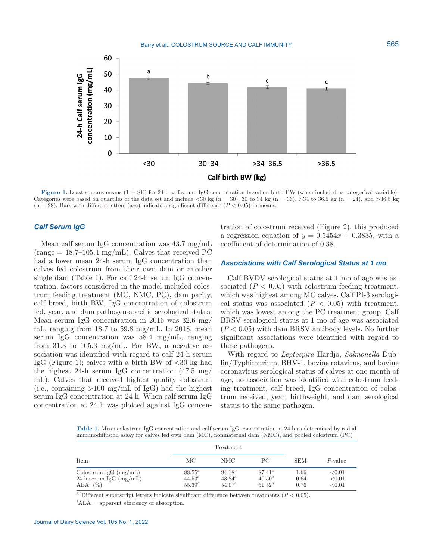

**Figure 1.** Least squares means  $(1 \pm SE)$  for 24-h calf serum IgG concentration based on birth BW (when included as categorical variable). Categories were based on quartiles of the data set and include <30 kg (n = 30), 30 to 34 kg (n = 36), >34 to 36.5 kg (n = 24), and >36.5 kg  $(n = 28)$ . Bars with different letters  $(a-c)$  indicate a significant difference  $(P < 0.05)$  in means.

# *Calf Serum IgG*

Mean calf serum IgG concentration was 43.7 mg/mL  $(\text{range} = 18.7 \text{--} 105.4 \text{ mg/mL})$ . Calves that received PC had a lower mean 24-h serum IgG concentration than calves fed colostrum from their own dam or another single dam (Table 1). For calf 24-h serum IgG concentration, factors considered in the model included colostrum feeding treatment (MC, NMC, PC), dam parity, calf breed, birth BW, IgG concentration of colostrum fed, year, and dam pathogen-specific serological status. Mean serum IgG concentration in 2016 was 32.6 mg/ mL, ranging from 18.7 to 59.8 mg/mL. In 2018, mean serum IgG concentration was 58.4 mg/mL, ranging from 31.3 to 105.3 mg/mL. For BW, a negative association was identified with regard to calf 24-h serum IgG (Figure 1); calves with a birth BW of  $\langle 30 \text{ kg had} \rangle$ the highest 24-h serum IgG concentration (47.5 mg/ mL). Calves that received highest quality colostrum (i.e., containing  $>100 \text{ mg/mL}$  of IgG) had the highest serum IgG concentration at 24 h. When calf serum IgG concentration at 24 h was plotted against IgG concentration of colostrum received (Figure 2), this produced a regression equation of  $y = 0.5454x - 0.3835$ , with a coefficient of determination of 0.38.

## *Associations with Calf Serological Status at 1 mo*

Calf BVDV serological status at 1 mo of age was associated  $(P < 0.05)$  with colostrum feeding treatment, which was highest among MC calves. Calf PI-3 serological status was associated  $(P < 0.05)$  with treatment, which was lowest among the PC treatment group. Calf BRSV serological status at 1 mo of age was associated (*P* < 0.05) with dam BRSV antibody levels. No further significant associations were identified with regard to these pathogens.

With regard to *Leptospira* Hardjo, *Salmonella* Dublin/Typhimurium, BHV-1, bovine rotavirus, and bovine coronavirus serological status of calves at one month of age, no association was identified with colostrum feeding treatment, calf breed, IgG concentration of colostrum received, year, birthweight, and dam serological status to the same pathogen.

**Table 1.** Mean colostrum IgG concentration and calf serum IgG concentration at 24 h as determined by radial immunodiffusion assay for calves fed own dam (MC), nonmaternal dam (NMC), and pooled colostrum (PC)

|                                                                    | Treatment                                         |                                                   |                                                          |                      |                            |
|--------------------------------------------------------------------|---------------------------------------------------|---------------------------------------------------|----------------------------------------------------------|----------------------|----------------------------|
| Item                                                               | МC                                                | NMC                                               | PС                                                       | <b>SEM</b>           | $P$ -value                 |
| Colostrum IgG $(mg/mL)$<br>24-h serum IgG $(mg/mL)$<br>$AEA^1(\%)$ | $88.55^{\circ}$<br>$44.53^{\circ}$<br>$55.39^{a}$ | $94.18^{b}$<br>$43.84^{\rm a}$<br>$54.07^{\circ}$ | $87.41^{\circ}$<br>40.50 <sup>b</sup><br>$51.52^{\rm b}$ | 1.66<br>0.64<br>0.76 | < 0.01<br>< 0.01<br>< 0.01 |

<sup>a,b</sup>Different superscript letters indicate significant difference between treatments ( $P < 0.05$ ).  ${}^{1}\text{AEA}$  = apparent efficiency of absorption.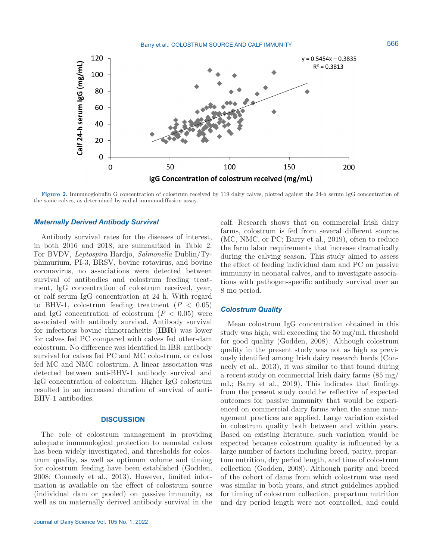

**Figure 2.** Immunoglobulin G concentration of colostrum received by 119 dairy calves, plotted against the 24-h serum IgG concentration of the same calves, as determined by radial immunodiffusion assay.

#### *Maternally Derived Antibody Survival*

Antibody survival rates for the diseases of interest, in both 2016 and 2018, are summarized in Table 2. For BVDV, *Leptospira* Hardjo, *Salmonella* Dublin/Typhimurium, PI-3, BRSV, bovine rotavirus, and bovine coronavirus, no associations were detected between survival of antibodies and colostrum feeding treatment, IgG concentration of colostrum received, year, or calf serum IgG concentration at 24 h. With regard to BHV-1, colostrum feeding treatment  $(P < 0.05)$ and IgG concentration of colostrum  $(P < 0.05)$  were associated with antibody survival. Antibody survival for infectious bovine rhinotracheitis (**IBR**) was lower for calves fed PC compared with calves fed other-dam colostrum. No difference was identified in IBR antibody survival for calves fed PC and MC colostrum, or calves fed MC and NMC colostrum. A linear association was detected between anti-BHV-1 antibody survival and IgG concentration of colostrum. Higher IgG colostrum resulted in an increased duration of survival of anti-BHV-1 antibodies.

## **DISCUSSION**

The role of colostrum management in providing adequate immunological protection to neonatal calves has been widely investigated, and thresholds for colostrum quality, as well as optimum volume and timing for colostrum feeding have been established (Godden, 2008; Conneely et al., 2013). However, limited information is available on the effect of colostrum source (individual dam or pooled) on passive immunity, as well as on maternally derived antibody survival in the calf. Research shows that on commercial Irish dairy farms, colostrum is fed from several different sources (MC, NMC, or PC; Barry et al., 2019), often to reduce the farm labor requirements that increase dramatically during the calving season. This study aimed to assess the effect of feeding individual dam and PC on passive immunity in neonatal calves, and to investigate associations with pathogen-specific antibody survival over an 8 mo period.

## *Colostrum Quality*

Mean colostrum IgG concentration obtained in this study was high, well exceeding the 50 mg/mL threshold for good quality (Godden, 2008). Although colostrum quality in the present study was not as high as previously identified among Irish dairy research herds (Conneely et al., 2013), it was similar to that found during a recent study on commercial Irish dairy farms (85 mg/ mL; Barry et al., 2019). This indicates that findings from the present study could be reflective of expected outcomes for passive immunity that would be experienced on commercial dairy farms when the same management practices are applied. Large variation existed in colostrum quality both between and within years. Based on existing literature, such variation would be expected because colostrum quality is influenced by a large number of factors including breed, parity, prepartum nutrition, dry period length, and time of colostrum collection (Godden, 2008). Although parity and breed of the cohort of dams from which colostrum was used was similar in both years, and strict guidelines applied for timing of colostrum collection, prepartum nutrition and dry period length were not controlled, and could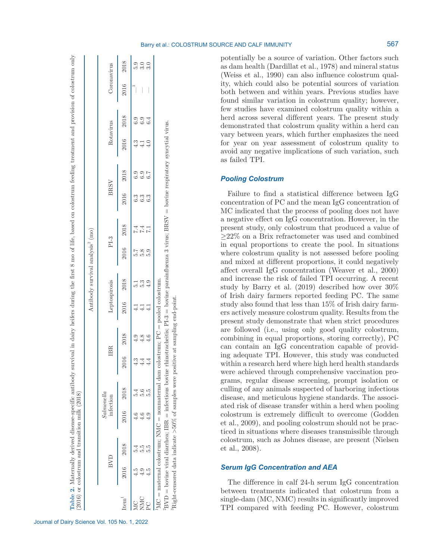potentially be a source of variation. Other factors such as dam health (Dardillat et al., 1978) and mineral status (Weiss et al., 1990) can also influence colostrum quality, which could also be potential sources of variation both between and within years. Previous studies have found similar variation in colostrum quality; however, few studies have examined colostrum quality within a herd across several different years. The present study demonstrated that colostrum quality within a herd can vary between years, which further emphasizes the need for year on year assessment of colostrum quality to avoid any negative implications of such variation, such as failed TPI.

# *Pooling Colostrum*

Failure to find a statistical difference between IgG concentration of PC and the mean IgG concentration of MC indicated that the process of pooling does not have a negative effect on IgG concentration. However, in the present study, only colostrum that produced a value of ≥22% on a Brix refractometer was used and combined in equal proportions to create the pool. In situations where colostrum quality is not assessed before pooling and mixed at different proportions, it could negatively affect overall IgG concentration (Weaver et al., 2000) and increase the risk of failed TPI occurring. A recent study by Barry et al. (2019) described how over 30% of Irish dairy farmers reported feeding PC. The same study also found that less than 15% of Irish dairy farmers actively measure colostrum quality. Results from the present study demonstrate that when strict procedures are followed (i.e., using only good quality colostrum, combining in equal proportions, storing correctly), PC can contain an IgG concentration capable of providing adequate TPI. However, this study was conducted within a research herd where high herd health standards were achieved through comprehensive vaccination programs, regular disease screening, prompt isolation or culling of any animals suspected of harboring infectious disease, and meticulous hygiene standards. The associated risk of disease transfer within a herd when pooling colostrum is extremely difficult to overcome (Godden et al., 2009), and pooling colostrum should not be practiced in situations where diseases transmissible through colostrum, such as Johnes disease, are present (Nielsen et al., 2008).

# *Serum IgG Concentration and AEA*

The difference in calf 24-h serum IgG concentration between treatments indicated that colostrum from a single-dam (MC, NMC) results in significantly improved TPI compared with feeding PC. However, colostrum

| ₹                                                                                                                                                                                                                                    |                                                 |
|--------------------------------------------------------------------------------------------------------------------------------------------------------------------------------------------------------------------------------------|-------------------------------------------------|
| ١                                                                                                                                                                                                                                    |                                                 |
|                                                                                                                                                                                                                                      |                                                 |
|                                                                                                                                                                                                                                      |                                                 |
| i                                                                                                                                                                                                                                    |                                                 |
|                                                                                                                                                                                                                                      |                                                 |
|                                                                                                                                                                                                                                      |                                                 |
|                                                                                                                                                                                                                                      |                                                 |
|                                                                                                                                                                                                                                      |                                                 |
| こうしょう こうしゃ                                                                                                                                                                                                                           |                                                 |
|                                                                                                                                                                                                                                      |                                                 |
|                                                                                                                                                                                                                                      |                                                 |
|                                                                                                                                                                                                                                      |                                                 |
|                                                                                                                                                                                                                                      |                                                 |
|                                                                                                                                                                                                                                      |                                                 |
|                                                                                                                                                                                                                                      |                                                 |
| こうしょう こうこう                                                                                                                                                                                                                           |                                                 |
|                                                                                                                                                                                                                                      |                                                 |
|                                                                                                                                                                                                                                      |                                                 |
|                                                                                                                                                                                                                                      |                                                 |
|                                                                                                                                                                                                                                      |                                                 |
|                                                                                                                                                                                                                                      |                                                 |
| ì                                                                                                                                                                                                                                    |                                                 |
|                                                                                                                                                                                                                                      |                                                 |
|                                                                                                                                                                                                                                      |                                                 |
|                                                                                                                                                                                                                                      |                                                 |
|                                                                                                                                                                                                                                      |                                                 |
|                                                                                                                                                                                                                                      |                                                 |
|                                                                                                                                                                                                                                      |                                                 |
|                                                                                                                                                                                                                                      |                                                 |
|                                                                                                                                                                                                                                      |                                                 |
| į<br>)<br>ļ                                                                                                                                                                                                                          |                                                 |
|                                                                                                                                                                                                                                      |                                                 |
|                                                                                                                                                                                                                                      |                                                 |
|                                                                                                                                                                                                                                      |                                                 |
|                                                                                                                                                                                                                                      |                                                 |
|                                                                                                                                                                                                                                      |                                                 |
|                                                                                                                                                                                                                                      |                                                 |
|                                                                                                                                                                                                                                      |                                                 |
|                                                                                                                                                                                                                                      |                                                 |
| <b>Contract</b>                                                                                                                                                                                                                      |                                                 |
|                                                                                                                                                                                                                                      |                                                 |
|                                                                                                                                                                                                                                      |                                                 |
| J                                                                                                                                                                                                                                    |                                                 |
| į<br>:                                                                                                                                                                                                                               |                                                 |
| i                                                                                                                                                                                                                                    |                                                 |
| į                                                                                                                                                                                                                                    |                                                 |
| i                                                                                                                                                                                                                                    |                                                 |
|                                                                                                                                                                                                                                      |                                                 |
|                                                                                                                                                                                                                                      |                                                 |
|                                                                                                                                                                                                                                      |                                                 |
| j<br>j                                                                                                                                                                                                                               |                                                 |
|                                                                                                                                                                                                                                      |                                                 |
|                                                                                                                                                                                                                                      |                                                 |
|                                                                                                                                                                                                                                      |                                                 |
|                                                                                                                                                                                                                                      |                                                 |
| ЗЩ                                                                                                                                                                                                                                   |                                                 |
|                                                                                                                                                                                                                                      |                                                 |
| ׇ֓֕֡                                                                                                                                                                                                                                 |                                                 |
|                                                                                                                                                                                                                                      |                                                 |
|                                                                                                                                                                                                                                      |                                                 |
|                                                                                                                                                                                                                                      |                                                 |
|                                                                                                                                                                                                                                      |                                                 |
| .<br>.                                                                                                                                                                                                                               |                                                 |
|                                                                                                                                                                                                                                      | $\ddot{\phantom{a}}$<br>$\frac{1}{2}$<br>֕<br>¢ |
| i                                                                                                                                                                                                                                    |                                                 |
|                                                                                                                                                                                                                                      |                                                 |
|                                                                                                                                                                                                                                      | i                                               |
| i<br>I<br>ł                                                                                                                                                                                                                          |                                                 |
|                                                                                                                                                                                                                                      | $\overline{\phantom{a}}$                        |
|                                                                                                                                                                                                                                      | i                                               |
|                                                                                                                                                                                                                                      |                                                 |
|                                                                                                                                                                                                                                      |                                                 |
|                                                                                                                                                                                                                                      |                                                 |
|                                                                                                                                                                                                                                      |                                                 |
|                                                                                                                                                                                                                                      |                                                 |
| j                                                                                                                                                                                                                                    |                                                 |
| <b>Continued in the Continued In the Continued In the Continued In the Continued In the Continued In the Continued In the Continued In the Continued In the Continued In the Continued In the Continued In the Continued Interna</b> | i                                               |
|                                                                                                                                                                                                                                      | l                                               |
|                                                                                                                                                                                                                                      |                                                 |
|                                                                                                                                                                                                                                      |                                                 |
|                                                                                                                                                                                                                                      | ¢                                               |
|                                                                                                                                                                                                                                      | ł<br>Ì<br>j                                     |

Antibody survival analysis $^2$  (mo)

Antibody survival analysis<sup>2</sup> (mo)

infection IBR Leptospirosis PI-3 BRSV Rotavirus Coronavirus

 $PI-3$ 

Leptospirosis

 $_{\rm IBR}$ 

2018

2016

2018  $4.9$  $4.8$  $4.6$ 

2016  $4.3$  $4.4$  $4.4$ 

2018

2016

2018

2016

2016

MC 4.5 5.4 4.6 5.4 4.3 4.9 4.1 5.1 5.7 7.4 6.3 6.9 4.3 6.9

NMC 4.9 5.5 4.6 5.6 4.4 4.8 4.1 5.3 5.8 7.4 6.3 6.9 4.1 6.9 — 3.0 PC 4.5 5.5 4.9 5.5 4.4 4.6 4.1 4.9 5.9 7.1 6.3 6.7 4.0 6.4 — 3.0

 $4.1$  $\frac{1}{4}$  $4.1$ 

 $\frac{1}{10}$   $\frac{1}{10}$   $\frac{1}{10}$   $\frac{1}{10}$ 

 $1MC$  = maternal colostrum; NMC = nonmaternal dam colostrum;  $PC$  = pooled colostrum.

 $MC =$  maternal colostrum; NMC = nonmaternal dam colostrum;  $PC =$  pooled colostrum

10.10.10<br>10.10.10

 $6999$ <br> $449$ 

 $\ddot{a}$  io io<br> $\ddot{a}$ 

MC<br>NMC  $\sum_{i=1}^{n}$ 

 $4.5$  $4.5$  $4.9$ 

3Right-censored data indicate >50% of samples were positive at sampling end-point.

Right-censored data indicate  ${>}50\%$  of samples were positive at sampling end-point.

2BVD = bovine viral diarrhea; IBR = infectious bovine rhinotracheitis; PI-3 = bovine parainfluenza 3 virus; BRSV = bovine respiratory syncytial virus.

 $BVD =$  bovine viral diarrhea; IBR = infectious bovine rhinotracheitis; PI-3 = bovine parainfluenza 3 virus; BRSV = bovine respiratory syncytial virus.

 $-3$  5.9

 $\begin{array}{c}\n0 \\
0 \\
\end{array}$ 

 $\mathbf{L}$ 

 $6.9$ <br> $6.9$ <br> $4$ 

0.00<br>0.00<br>0.00

0000<br>000

 $\begin{array}{c} 7.4 \\ 7.4 \\ \end{array}$ 

5<br>6<br>5<br>6<br>5<br>6<br>5<br>6<br>5<br>6<br>5<br>6<br>

2018

2016

2018

2016  $4.3$  $4.0$  $4.1$ 

2018

2016

2018

Coronavirus

Rotavirus

**BRSV** 

|  | Journal of Dairy Science Vol. 105 No. 1, 2022 |  |  |  |
|--|-----------------------------------------------|--|--|--|
|  |                                               |  |  |  |

Item1

BVD

*Salmonella*

 $\begin{array}{c} Salmonella\\ \hspace{-2.5mm}\text{infection} \end{array}$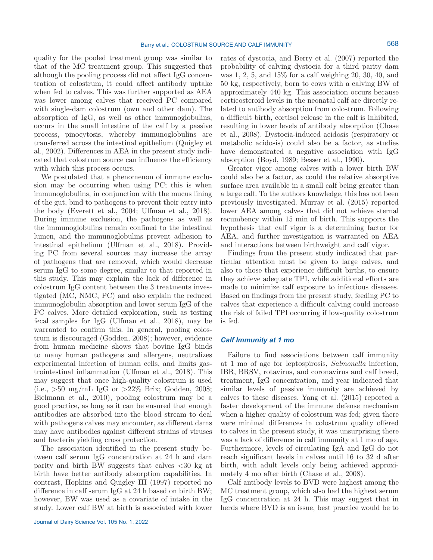quality for the pooled treatment group was similar to that of the MC treatment group. This suggested that although the pooling process did not affect IgG concentration of colostrum, it could affect antibody uptake when fed to calves. This was further supported as AEA was lower among calves that received PC compared with single-dam colostrum (own and other dam). The absorption of IgG, as well as other immunoglobulins, occurs in the small intestine of the calf by a passive process, pinocytosis, whereby immunoglobulins are transferred across the intestinal epithelium (Quigley et al., 2002). Differences in AEA in the present study indicated that colostrum source can influence the efficiency with which this process occurs.

We postulated that a phenomenon of immune exclusion may be occurring when using PC; this is when immunoglobulins, in conjunction with the mucus lining of the gut, bind to pathogens to prevent their entry into the body (Everett et al., 2004; Ulfman et al., 2018). During immune exclusion, the pathogens as well as the immunoglobulins remain confined to the intestinal lumen, and the immunoglobulins prevent adhesion to intestinal epithelium (Ulfman et al., 2018). Providing PC from several sources may increase the array of pathogens that are removed, which would decrease serum IgG to some degree, similar to that reported in this study. This may explain the lack of difference in colostrum IgG content between the 3 treatments investigated (MC, NMC, PC) and also explain the reduced immunoglobulin absorption and lower serum IgG of the PC calves. More detailed exploration, such as testing fecal samples for IgG (Ulfman et al., 2018), may be warranted to confirm this. In general, pooling colostrum is discouraged (Godden, 2008); however, evidence from human medicine shows that bovine IgG binds to many human pathogens and allergens, neutralizes experimental infection of human cells, and limits gastrointestinal inflammation (Ulfman et al., 2018). This may suggest that once high-quality colostrum is used (i.e.,  $>50 \text{ mg/mL}$  IgG or  $>22\%$  Brix; Godden, 2008; Bielmann et al., 2010), pooling colostrum may be a good practice, as long as it can be ensured that enough antibodies are absorbed into the blood stream to deal with pathogens calves may encounter, as different dams may have antibodies against different strains of viruses and bacteria yielding cross protection.

The association identified in the present study between calf serum IgG concentration at 24 h and dam parity and birth BW suggests that calves <30 kg at birth have better antibody absorption capabilities. In contrast, Hopkins and Quigley III (1997) reported no difference in calf serum IgG at 24 h based on birth BW; however, BW was used as a covariate of intake in the study. Lower calf BW at birth is associated with lower rates of dystocia, and Berry et al. (2007) reported the probability of calving dystocia for a third parity dam was 1, 2, 5, and 15% for a calf weighing 20, 30, 40, and 50 kg, respectively, born to cows with a calving BW of approximately 440 kg. This association occurs because corticosteroid levels in the neonatal calf are directly related to antibody absorption from colostrum. Following a difficult birth, cortisol release in the calf is inhibited, resulting in lower levels of antibody absorption (Chase et al., 2008). Dystocia-induced acidosis (respiratory or metabolic acidosis) could also be a factor, as studies have demonstrated a negative association with IgG absorption (Boyd, 1989; Besser et al., 1990).

Greater vigor among calves with a lower birth BW could also be a factor, as could the relative absorptive surface area available in a small calf being greater than a large calf. To the authors knowledge, this has not been previously investigated. Murray et al. (2015) reported lower AEA among calves that did not achieve sternal recumbency within 15 min of birth. This supports the hypothesis that calf vigor is a determining factor for AEA, and further investigation is warranted on AEA and interactions between birthweight and calf vigor.

Findings from the present study indicated that particular attention must be given to large calves, and also to those that experience difficult births, to ensure they achieve adequate TPI, while additional efforts are made to minimize calf exposure to infectious diseases. Based on findings from the present study, feeding PC to calves that experience a difficult calving could increase the risk of failed TPI occurring if low-quality colostrum is fed.

## *Calf Immunity at 1 mo*

Failure to find associations between calf immunity at 1 mo of age for leptospirosis, *Salmonella* infection, IBR, BRSV, rotavirus, and coronavirus and calf breed, treatment, IgG concentration, and year indicated that similar levels of passive immunity are achieved by calves to these diseases. Yang et al. (2015) reported a faster development of the immune defense mechanism when a higher quality of colostrum was fed; given there were minimal differences in colostrum quality offered to calves in the present study, it was unsurprising there was a lack of difference in calf immunity at 1 mo of age. Furthermore, levels of circulating IgA and IgG do not reach significant levels in calves until 16 to 32 d after birth, with adult levels only being achieved approximately 4 mo after birth (Chase et al., 2008).

Calf antibody levels to BVD were highest among the MC treatment group, which also had the highest serum IgG concentration at 24 h. This may suggest that in herds where BVD is an issue, best practice would be to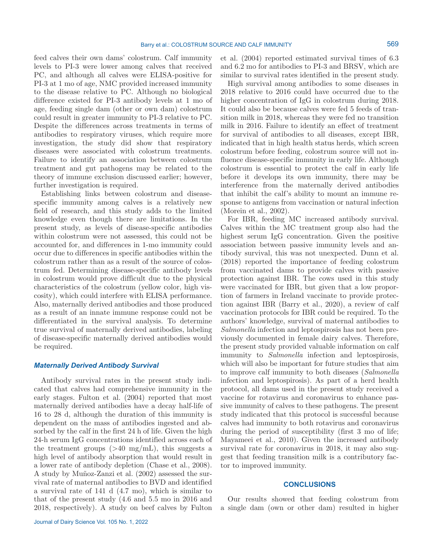feed calves their own dams' colostrum. Calf immunity levels to PI-3 were lower among calves that received PC, and although all calves were ELISA-positive for PI-3 at 1 mo of age, NMC provided increased immunity to the disease relative to PC. Although no biological difference existed for PI-3 antibody levels at 1 mo of age, feeding single dam (other or own dam) colostrum could result in greater immunity to PI-3 relative to PC. Despite the differences across treatments in terms of antibodies to respiratory viruses, which require more investigation, the study did show that respiratory diseases were associated with colostrum treatments. Failure to identify an association between colostrum treatment and gut pathogens may be related to the theory of immune exclusion discussed earlier; however, further investigation is required.

Establishing links between colostrum and diseasespecific immunity among calves is a relatively new field of research, and this study adds to the limited knowledge even though there are limitations. In the present study, as levels of disease-specific antibodies within colostrum were not assessed, this could not be accounted for, and differences in 1-mo immunity could occur due to differences in specific antibodies within the colostrum rather than as a result of the source of colostrum fed. Determining disease-specific antibody levels in colostrum would prove difficult due to the physical characteristics of the colostrum (yellow color, high viscosity), which could interfere with ELISA performance. Also, maternally derived antibodies and those produced as a result of an innate immune response could not be differentiated in the survival analysis. To determine true survival of maternally derived antibodies, labeling of disease-specific maternally derived antibodies would be required.

## *Maternally Derived Antibody Survival*

Antibody survival rates in the present study indicated that calves had comprehensive immunity in the early stages. Fulton et al. (2004) reported that most maternally derived antibodies have a decay half-life of 16 to 28 d, although the duration of this immunity is dependent on the mass of antibodies ingested and absorbed by the calf in the first 24 h of life. Given the high 24-h serum IgG concentrations identified across each of the treatment groups  $(>40 \text{ mg/mL})$ , this suggests a high level of antibody absorption that would result in a lower rate of antibody depletion (Chase et al., 2008). A study by Muñoz-Zanzi et al. (2002) assessed the survival rate of maternal antibodies to BVD and identified a survival rate of 141 d (4.7 mo), which is similar to that of the present study (4.6 and 5.5 mo in 2016 and 2018, respectively). A study on beef calves by Fulton et al. (2004) reported estimated survival times of 6.3 and 6.2 mo for antibodies to PI-3 and BRSV, which are similar to survival rates identified in the present study.

High survival among antibodies to some diseases in 2018 relative to 2016 could have occurred due to the higher concentration of IgG in colostrum during 2018. It could also be because calves were fed 5 feeds of transition milk in 2018, whereas they were fed no transition milk in 2016. Failure to identify an effect of treatment for survival of antibodies to all diseases, except IBR, indicated that in high health status herds, which screen colostrum before feeding, colostrum source will not influence disease-specific immunity in early life. Although colostrum is essential to protect the calf in early life before it develops its own immunity, there may be interference from the maternally derived antibodies that inhibit the calf's ability to mount an immune response to antigens from vaccination or natural infection (Morein et al., 2002).

For IBR, feeding MC increased antibody survival. Calves within the MC treatment group also had the highest serum IgG concentration. Given the positive association between passive immunity levels and antibody survival, this was not unexpected. Dunn et al. (2018) reported the importance of feeding colostrum from vaccinated dams to provide calves with passive protection against IBR. The cows used in this study were vaccinated for IBR, but given that a low proportion of farmers in Ireland vaccinate to provide protection against IBR (Barry et al., 2020), a review of calf vaccination protocols for IBR could be required. To the authors' knowledge, survival of maternal antibodies to *Salmonella* infection and leptospirosis has not been previously documented in female dairy calves. Therefore, the present study provided valuable information on calf immunity to *Salmonella* infection and leptospirosis, which will also be important for future studies that aim to improve calf immunity to both diseases (*Salmonella* infection and leptospirosis). As part of a herd health protocol, all dams used in the present study received a vaccine for rotavirus and coronavirus to enhance passive immunity of calves to these pathogens. The present study indicated that this protocol is successful because calves had immunity to both rotavirus and coronavirus during the period of susceptibility (first 3 mo of life; Mayameei et al., 2010). Given the increased antibody survival rate for coronavirus in 2018, it may also suggest that feeding transition milk is a contributory factor to improved immunity.

#### **CONCLUSIONS**

Our results showed that feeding colostrum from a single dam (own or other dam) resulted in higher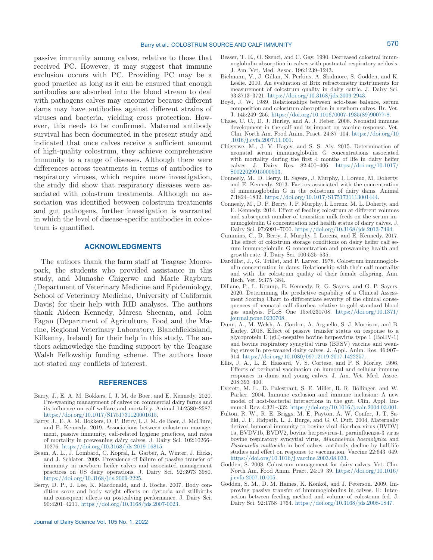passive immunity among calves, relative to those that received PC. However, it may suggest that immune exclusion occurs with PC. Providing PC may be a good practice as long as it can be ensured that enough antibodies are absorbed into the blood stream to deal with pathogens calves may encounter because different dams may have antibodies against different strains of viruses and bacteria, yielding cross protection. However, this needs to be confirmed. Maternal antibody survival has been documented in the present study and indicated that once calves receive a sufficient amount of high-quality colostrum, they achieve comprehensive immunity to a range of diseases. Although there were differences across treatments in terms of antibodies to respiratory viruses, which require more investigation, the study did show that respiratory diseases were associated with colostrum treatments. Although no association was identified between colostrum treatments and gut pathogens, further investigation is warranted in which the level of disease-specific antibodies in colostrum is quantified.

#### **ACKNOWLEDGMENTS**

The authors thank the farm staff at Teagasc Moorepark, the students who provided assistance in this study, and Munashe Chigerwe and Marie Rayburn (Department of Veterinary Medicine and Epidemiology, School of Veterinary Medicine, University of California Davis) for their help with RID analyses. The authors thank Aideen Kennedy, Maresa Sheenan, and John Fagan (Department of Agriculture, Food and the Marine, Regional Veterinary Laboratory, Blanchfieldsland, Kilkenny, Ireland) for their help in this study. The authors acknowledge the funding support by the Teagasc Walsh Fellowship funding scheme. The authors have not stated any conflicts of interest.

#### **REFERENCES**

- Barry, J., E. A. M. Bokkers, I. J. M. de Boer, and E. Kennedy. 2020. Pre-weaning management of calves on commercial dairy farms and its influence on calf welfare and mortality. Animal 14:2580–2587. [https://doi.org/10.1017/S1751731120001615.](https://doi.org/10.1017/S1751731120001615)
- Barry, J., E. A. M. Bokkers, D. P. Berry, I. J. M. de Boer, J. McClure, and E. Kennedy. 2019. Associations between colostrum management, passive immunity, calf-related hygiene practices, and rates of mortality in preweaning dairy calves. J. Dairy Sci. 102:10266– 10276. <https://doi.org/10.3168/jds.2019-16815>.
- Beam, A. L., J. Lombard, C. Kopral, L. Garber, A. Winter, J. Hicks, and J. Schlater. 2009. Prevalence of failure of passive transfer of immunity in newborn heifer calves and associated management practices on US dairy operations. J. Dairy Sci. 92:3973–3980. [https://doi.org/10.3168/jds.2009-2225.](https://doi.org/10.3168/jds.2009-2225)
- Berry, D. P., J. Lee, K. Macdonald, and J. Roche. 2007. Body condition score and body weight effects on dystocia and stillbirths and consequent effects on postcalving performance. J. Dairy Sci. 90:4201–4211. <https://doi.org/10.3168/jds.2007-0023>.
- Besser, T. E., O. Szenci, and C. Gay. 1990. Decreased colostral immunoglobulin absorption in calves with postnatal respiratory acidosis. J. Am. Vet. Med. Assoc. 196:1239–1243.
- Bielmann, V., J. Gillan, N. Perkins, A. Skidmore, S. Godden, and K. Leslie. 2010. An evaluation of Brix refractometry instruments for measurement of colostrum quality in dairy cattle. J. Dairy Sci. 93:3713–3721. <https://doi.org/10.3168/jds.2009-2943>.
- Boyd, J. W. 1989. Relationships between acid-base balance, serum composition and colostrum absorption in newborn calves. Br. Vet. J. 145:249–256. [https://doi.org/10.1016/0007-1935\(89\)90077-8.](https://doi.org/10.1016/0007-1935(89)90077-8)
- Chase, C. C., D. J. Hurley, and A. J. Reber. 2008. Neonatal immune development in the calf and its impact on vaccine response. Vet. Clin. North Am. Food Anim. Pract. 24:87–104. [https://doi.org/10](https://doi.org/10.1016/j.cvfa.2007.11.001) [.1016/j.cvfa.2007.11.001](https://doi.org/10.1016/j.cvfa.2007.11.001).
- Chigerwe, M., J. V. Hagey, and S. S. Aly. 2015. Determination of neonatal serum immunoglobulin G concentrations associated with mortality during the first 4 months of life in dairy heifer calves. J. Dairy Res. 82:400–406. [https://doi.org/10.1017/](https://doi.org/10.1017/S0022029915000503) [S0022029915000503.](https://doi.org/10.1017/S0022029915000503)
- Conneely, M., D. Berry, R. Sayers, J. Murphy, I. Lorenz, M. Doherty, and E. Kennedy. 2013. Factors associated with the concentration of immunoglobulin G in the colostrum of dairy dams. Animal 7:1824–1832. <https://doi.org/10.1017/S1751731113001444>.
- Conneely, M., D. P. Berry, J. P. Murphy, I. Lorenz, M. L. Doherty, and E. Kennedy. 2014. Effect of feeding colostrum at different volumes and subsequent number of transition milk feeds on the serum immunoglobulin G concentration and health status of dairy calves. J. Dairy Sci. 97:6991–7000. [https://doi.org/10.3168/jds.2013-7494.](https://doi.org/10.3168/jds.2013-7494)
- Cummins, C., D. Berry, J. Murphy, I. Lorenz, and E. Kennedy. 2017. The effect of colostrum storage conditions on dairy heifer calf serum immunoglobulin G concentration and preweaning health and growth rate. J. Dairy Sci. 100:525–535.
- Dardillat, J., G. Trillat, and P. Larvor. 1978. Colostrum immunoglobulin concentration in dams: Relationship with their calf mortality and with the colostrum quality of their female offspring. Ann. Rech. Vet. 9:375–384.
- Dillane, P., L. Krump, E. Kennedy, R. G. Sayers, and G. P. Sayers. 2020. Determining the predictive capability of a Clinical Assessment Scoring Chart to differentiate severity of the clinical consequences of neonatal calf diarrhea relative to gold-standard blood gas analysis. PLoS One 15:e0230708. [https://doi.org/10.1371/](https://doi.org/10.1371/journal.pone.0230708) [journal.pone.0230708](https://doi.org/10.1371/journal.pone.0230708).
- Dunn, A., M. Welsh, A. Gordon, A. Arguello, S. J. Morrison, and B. Earley. 2018. Effect of passive transfer status on response to a glycoprotein E (gE)-negative bovine herpesvirus type 1 (BoHV-1) and bovine respiratory syncytial virus (BRSV) vaccine and weaning stress in pre-weaned dairy calves. J. Appl. Anim. Res. 46:907– 914. [https://doi.org/10.1080/09712119.2017.1422257.](https://doi.org/10.1080/09712119.2017.1422257)
- Ellis, J. A., L. E. Hassard, V. S. Cortese, and P. S. Morley. 1996. Effects of perinatal vaccination on humoral and cellular immune responses in dams and young calves. J. Am. Vet. Med. Assoc. 208:393–400.
- Everett, M. L., D. Palestrant, S. E. Miller, R. R. Bollinger, and W. Parker. 2004. Immune exclusion and immune inclusion: A new model of host-bacterial interactions in the gut. Clin. Appl. Immunol. Rev. 4:321–332. [https://doi.org/10.1016/j.cair.2004.03.001.](https://doi.org/10.1016/j.cair.2004.03.001)
- Fulton, R. W., R. E. Briggs, M. E. Payton, A. W. Confer, J. T. Saliki, J. F. Ridpath, L. J. Burge, and G. C. Duff. 2004. Maternally derived humoral immunity to bovine viral diarrhea virus (BVDV) 1a, BVDV1b, BVDV2, bovine herpesvirus-1, parainfluenza-3 virus bovine respiratory syncytial virus, *Mannheimia haemolytica* and *Pasteurella multocida* in beef calves, antibody decline by half-life studies and effect on response to vaccination. Vaccine 22:643–649. <https://doi.org/10.1016/j.vaccine.2003.08.033>.
- Godden, S. 2008. Colostrum management for dairy calves. Vet. Clin. North Am. Food Anim. Pract. 24:19–39. [https://doi.org/10.1016/](https://doi.org/10.1016/j.cvfa.2007.10.005) [j.cvfa.2007.10.005](https://doi.org/10.1016/j.cvfa.2007.10.005).
- Godden, S. M., D. M. Haines, K. Konkol, and J. Peterson. 2009. Improving passive transfer of immunoglobulins in calves. II: Interaction between feeding method and volume of colostrum fed. J. Dairy Sci. 92:1758–1764. [https://doi.org/10.3168/jds.2008-1847.](https://doi.org/10.3168/jds.2008-1847)